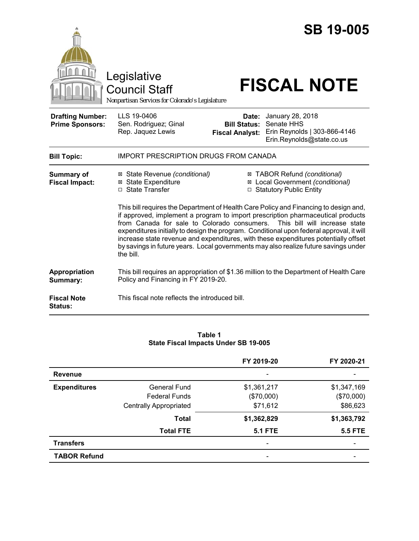|                                                   | Legislative<br><b>Council Staff</b><br>Nonpartisan Services for Colorado's Legislature                                                                                                                                                                                                                                                                                                                                                                                                                                                                                                                                                                                                                                          |                                                        | <b>SB 19-005</b><br><b>FISCAL NOTE</b>                                                      |  |
|---------------------------------------------------|---------------------------------------------------------------------------------------------------------------------------------------------------------------------------------------------------------------------------------------------------------------------------------------------------------------------------------------------------------------------------------------------------------------------------------------------------------------------------------------------------------------------------------------------------------------------------------------------------------------------------------------------------------------------------------------------------------------------------------|--------------------------------------------------------|---------------------------------------------------------------------------------------------|--|
| <b>Drafting Number:</b><br><b>Prime Sponsors:</b> | LLS 19-0406<br>Sen. Rodriguez; Ginal<br>Rep. Jaquez Lewis                                                                                                                                                                                                                                                                                                                                                                                                                                                                                                                                                                                                                                                                       | Date:<br><b>Bill Status:</b><br><b>Fiscal Analyst:</b> | January 28, 2018<br>Senate HHS<br>Erin Reynolds   303-866-4146<br>Erin.Reynolds@state.co.us |  |
| <b>Bill Topic:</b>                                | <b>IMPORT PRESCRIPTION DRUGS FROM CANADA</b>                                                                                                                                                                                                                                                                                                                                                                                                                                                                                                                                                                                                                                                                                    |                                                        |                                                                                             |  |
| <b>Summary of</b><br><b>Fiscal Impact:</b>        | ⊠ TABOR Refund (conditional)<br>⊠ State Revenue (conditional)<br>⊠ Local Government (conditional)<br><b>⊠</b> State Expenditure<br>□ State Transfer<br>□ Statutory Public Entity<br>This bill requires the Department of Health Care Policy and Financing to design and,<br>if approved, implement a program to import prescription pharmaceutical products<br>from Canada for sale to Colorado consumers. This bill will increase state<br>expenditures initially to design the program. Conditional upon federal approval, it will<br>increase state revenue and expenditures, with these expenditures potentially offset<br>by savings in future years. Local governments may also realize future savings under<br>the bill. |                                                        |                                                                                             |  |
| Appropriation<br>Summary:                         | Policy and Financing in FY 2019-20.                                                                                                                                                                                                                                                                                                                                                                                                                                                                                                                                                                                                                                                                                             |                                                        | This bill requires an appropriation of \$1.36 million to the Department of Health Care      |  |
| <b>Fiscal Note</b><br><b>Status:</b>              | This fiscal note reflects the introduced bill.                                                                                                                                                                                                                                                                                                                                                                                                                                                                                                                                                                                                                                                                                  |                                                        |                                                                                             |  |

#### **Table 1 State Fiscal Impacts Under SB 19-005**

|                     |                               | FY 2019-20               | FY 2020-21     |
|---------------------|-------------------------------|--------------------------|----------------|
| <b>Revenue</b>      |                               |                          |                |
| <b>Expenditures</b> | General Fund                  | \$1,361,217              | \$1,347,169    |
|                     | <b>Federal Funds</b>          | (\$70,000)               | (\$70,000)     |
|                     | <b>Centrally Appropriated</b> | \$71,612                 | \$86,623       |
|                     | <b>Total</b>                  | \$1,362,829              | \$1,363,792    |
|                     | <b>Total FTE</b>              | <b>5.1 FTE</b>           | <b>5.5 FTE</b> |
| <b>Transfers</b>    |                               | $\overline{\phantom{0}}$ |                |
| <b>TABOR Refund</b> |                               |                          |                |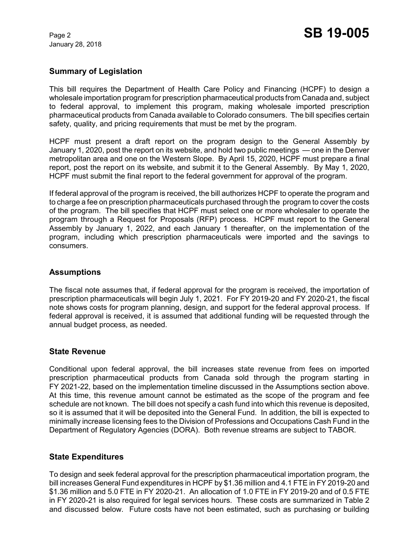January 28, 2018

# **Summary of Legislation**

This bill requires the Department of Health Care Policy and Financing (HCPF) to design a wholesale importation program for prescription pharmaceutical products from Canada and, subject to federal approval, to implement this program, making wholesale imported prescription pharmaceutical products from Canada available to Colorado consumers. The bill specifies certain safety, quality, and pricing requirements that must be met by the program.

HCPF must present a draft report on the program design to the General Assembly by January 1, 2020, post the report on its website, and hold two public meetings — one in the Denver metropolitan area and one on the Western Slope. By April 15, 2020, HCPF must prepare a final report, post the report on its website, and submit it to the General Assembly. By May 1, 2020, HCPF must submit the final report to the federal government for approval of the program.

If federal approval of the program is received, the bill authorizes HCPF to operate the program and to charge a fee on prescription pharmaceuticals purchased through the program to cover the costs of the program. The bill specifies that HCPF must select one or more wholesaler to operate the program through a Request for Proposals (RFP) process. HCPF must report to the General Assembly by January 1, 2022, and each January 1 thereafter, on the implementation of the program, including which prescription pharmaceuticals were imported and the savings to consumers.

# **Assumptions**

The fiscal note assumes that, if federal approval for the program is received, the importation of prescription pharmaceuticals will begin July 1, 2021. For FY 2019-20 and FY 2020-21, the fiscal note shows costs for program planning, design, and support for the federal approval process. If federal approval is received, it is assumed that additional funding will be requested through the annual budget process, as needed.

# **State Revenue**

Conditional upon federal approval, the bill increases state revenue from fees on imported prescription pharmaceutical products from Canada sold through the program starting in FY 2021-22, based on the implementation timeline discussed in the Assumptions section above. At this time, this revenue amount cannot be estimated as the scope of the program and fee schedule are not known. The bill does not specify a cash fund into which this revenue is deposited, so it is assumed that it will be deposited into the General Fund. In addition, the bill is expected to minimally increase licensing fees to the Division of Professions and Occupations Cash Fund in the Department of Regulatory Agencies (DORA). Both revenue streams are subject to TABOR.

# **State Expenditures**

To design and seek federal approval for the prescription pharmaceutical importation program, the bill increases General Fund expenditures in HCPF by \$1.36 million and 4.1 FTE in FY 2019-20 and \$1.36 million and 5.0 FTE in FY 2020-21. An allocation of 1.0 FTE in FY 2019-20 and of 0.5 FTE in FY 2020-21 is also required for legal services hours. These costs are summarized in Table 2 and discussed below. Future costs have not been estimated, such as purchasing or building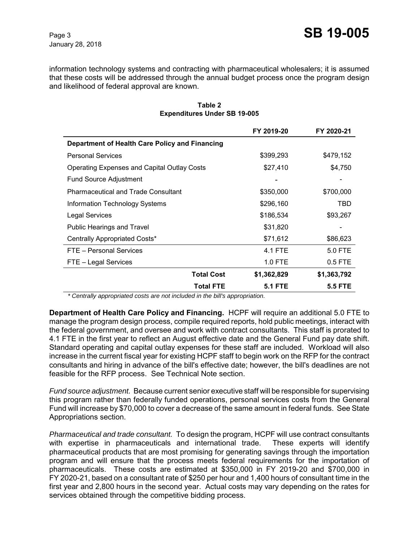information technology systems and contracting with pharmaceutical wholesalers; it is assumed that these costs will be addressed through the annual budget process once the program design and likelihood of federal approval are known.

|                                                |                   | FY 2019-20     | FY 2020-21  |
|------------------------------------------------|-------------------|----------------|-------------|
| Department of Health Care Policy and Financing |                   |                |             |
| <b>Personal Services</b>                       |                   | \$399,293      | \$479,152   |
| Operating Expenses and Capital Outlay Costs    |                   | \$27,410       | \$4,750     |
| Fund Source Adjustment                         |                   |                |             |
| <b>Pharmaceutical and Trade Consultant</b>     |                   | \$350,000      | \$700,000   |
| Information Technology Systems                 |                   | \$296,160      | TBD         |
| Legal Services                                 |                   | \$186,534      | \$93,267    |
| Public Hearings and Travel                     |                   | \$31,820       |             |
| Centrally Appropriated Costs*                  |                   | \$71,612       | \$86,623    |
| FTE - Personal Services                        |                   | 4.1 FTE        | 5.0 FTE     |
| FTE – Legal Services                           |                   | 1.0 FTE        | $0.5$ FTE   |
|                                                | <b>Total Cost</b> | \$1,362,829    | \$1,363,792 |
|                                                | <b>Total FTE</b>  | <b>5.1 FTE</b> | 5.5 FTE     |

### **Table 2 Expenditures Under SB 19-005**

 *\* Centrally appropriated costs are not included in the bill's appropriation.*

**Department of Health Care Policy and Financing.** HCPF will require an additional 5.0 FTE to manage the program design process, compile required reports, hold public meetings, interact with the federal government, and oversee and work with contract consultants. This staff is prorated to 4.1 FTE in the first year to reflect an August effective date and the General Fund pay date shift. Standard operating and capital outlay expenses for these staff are included. Workload will also increase in the current fiscal year for existing HCPF staff to begin work on the RFP for the contract consultants and hiring in advance of the bill's effective date; however, the bill's deadlines are not feasible for the RFP process. See Technical Note section.

*Fund source adjustment.* Because current senior executive staff will be responsible for supervising this program rather than federally funded operations, personal services costs from the General Fund will increase by \$70,000 to cover a decrease of the same amount in federal funds. See State Appropriations section.

*Pharmaceutical and trade consultant.* To design the program, HCPF will use contract consultants with expertise in pharmaceuticals and international trade. These experts will identify pharmaceutical products that are most promising for generating savings through the importation program and will ensure that the process meets federal requirements for the importation of pharmaceuticals. These costs are estimated at \$350,000 in FY 2019-20 and \$700,000 in FY 2020-21, based on a consultant rate of \$250 per hour and 1,400 hours of consultant time in the first year and 2,800 hours in the second year. Actual costs may vary depending on the rates for services obtained through the competitive bidding process.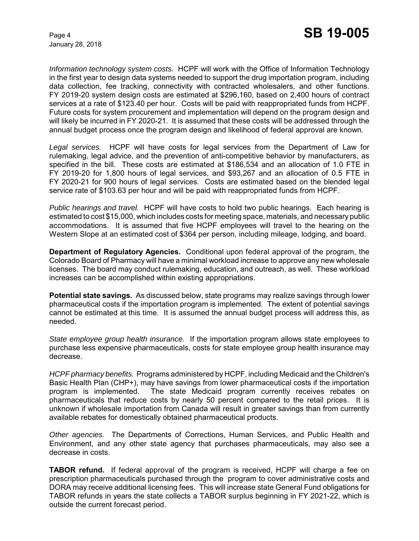January 28, 2018

*Information technology system costs.* HCPF will work with the Office of Information Technology in the first year to design data systems needed to support the drug importation program, including data collection, fee tracking, connectivity with contracted wholesalers, and other functions. FY 2019-20 system design costs are estimated at \$296,160, based on 2,400 hours of contract services at a rate of \$123.40 per hour. Costs will be paid with reappropriated funds from HCPF. Future costs for system procurement and implementation will depend on the program design and will likely be incurred in FY 2020-21. It is assumed that these costs will be addressed through the annual budget process once the program design and likelihood of federal approval are known.

*Legal services.* HCPF will have costs for legal services from the Department of Law for rulemaking, legal advice, and the prevention of anti-competitive behavior by manufacturers, as specified in the bill. These costs are estimated at \$186,534 and an allocation of 1.0 FTE in FY 2019-20 for 1,800 hours of legal services, and \$93,267 and an allocation of 0.5 FTE in FY 2020-21 for 900 hours of legal services. Costs are estimated based on the blended legal service rate of \$103.63 per hour and will be paid with reappropriated funds from HCPF.

*Public hearings and travel.* HCPF will have costs to hold two public hearings. Each hearing is estimated to cost \$15,000, which includes costs for meeting space, materials, and necessary public accommodations. It is assumed that five HCPF employees will travel to the hearing on the Western Slope at an estimated cost of \$364 per person, including mileage, lodging, and board.

**Department of Regulatory Agencies.** Conditional upon federal approval of the program, the Colorado Board of Pharmacy will have a minimal workload increase to approve any new wholesale licenses. The board may conduct rulemaking, education, and outreach, as well. These workload increases can be accomplished within existing appropriations.

**Potential state savings.** As discussed below, state programs may realize savings through lower pharmaceutical costs if the importation program is implemented. The extent of potential savings cannot be estimated at this time. It is assumed the annual budget process will address this, as needed.

*State employee group health insurance.* If the importation program allows state employees to purchase less expensive pharmaceuticals, costs for state employee group health insurance may decrease.

*HCPF pharmacy benefits.*Programs administered by HCPF, including Medicaid and the Children's Basic Health Plan (CHP+), may have savings from lower pharmaceutical costs if the importation program is implemented. The state Medicaid program currently receives rebates on pharmaceuticals that reduce costs by nearly 50 percent compared to the retail prices. It is unknown if wholesale importation from Canada will result in greater savings than from currently available rebates for domestically obtained pharmaceutical products.

*Other agencies.* The Departments of Corrections, Human Services, and Public Health and Environment, and any other state agency that purchases pharmaceuticals, may also see a decrease in costs.

**TABOR refund.** If federal approval of the program is received, HCPF will charge a fee on prescription pharmaceuticals purchased through the program to cover administrative costs and DORA may receive additional licensing fees. This will increase state General Fund obligations for TABOR refunds in years the state collects a TABOR surplus beginning in FY 2021-22, which is outside the current forecast period.